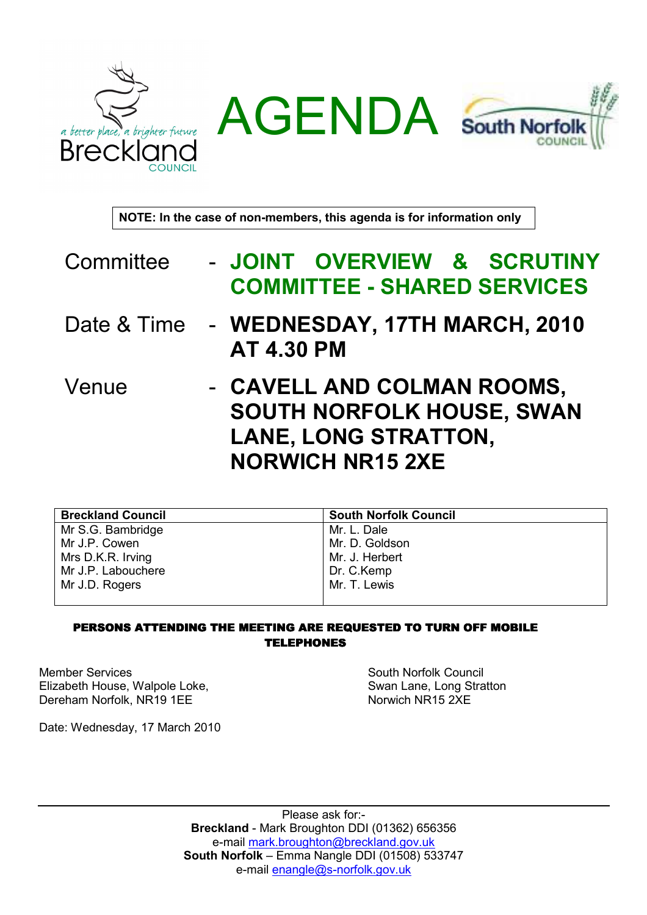



NOTE: In the case of non-members, this agenda is for information only

- Committee JOINT OVERVIEW & SCRUTINY COMMITTEE - SHARED SERVICES
- Date & Time WEDNESDAY, 17TH MARCH, 2010 AT 4.30 PM
- Venue CAVELL AND COLMAN ROOMS, SOUTH NORFOLK HOUSE, SWAN LANE, LONG STRATTON, NORWICH NR15 2XE

| <b>Breckland Council</b> | <b>South Norfolk Council</b> |
|--------------------------|------------------------------|
| Mr S.G. Bambridge        | Mr. L. Dale                  |
| Mr J.P. Cowen            | Mr. D. Goldson               |
| Mrs D.K.R. Irving        | Mr. J. Herbert               |
| Mr J.P. Labouchere       | Dr. C.Kemp                   |
| Mr J.D. Rogers           | Mr. T. Lewis                 |
|                          |                              |

## PERSONS ATTENDING THE MEETING ARE REQUESTED TO TURN OFF MOBILE TELEPHONES

Member Services Elizabeth House, Walpole Loke, Dereham Norfolk, NR19 1EE

South Norfolk Council Swan Lane, Long Stratton Norwich NR15 2XE

Date: Wednesday, 17 March 2010